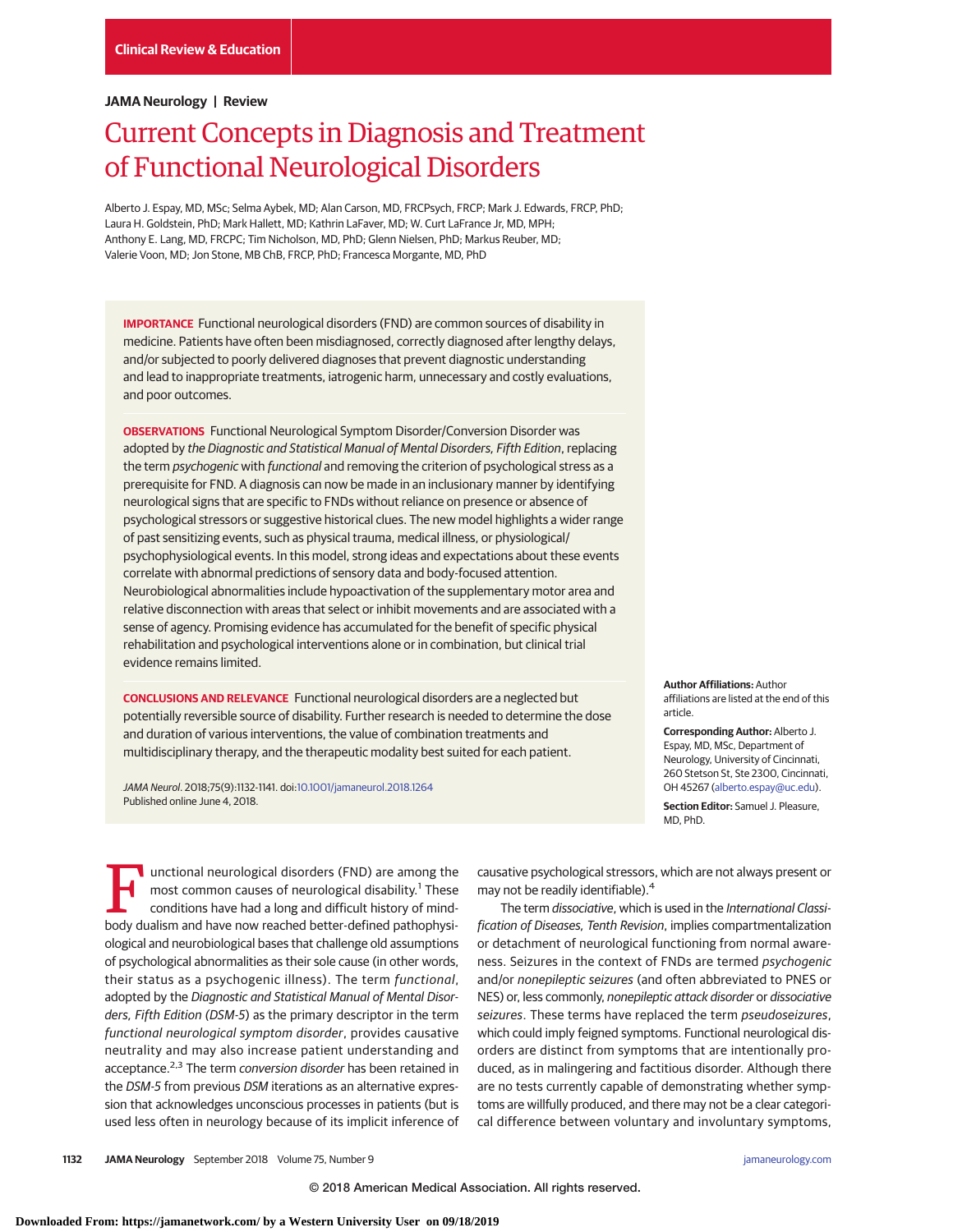# **JAMA Neurology | Review**

# Current Concepts in Diagnosis and Treatment of Functional Neurological Disorders

Alberto J. Espay, MD, MSc; Selma Aybek, MD; Alan Carson, MD, FRCPsych, FRCP; Mark J. Edwards, FRCP, PhD; Laura H. Goldstein, PhD; Mark Hallett, MD; Kathrin LaFaver, MD; W. Curt LaFrance Jr, MD, MPH; Anthony E. Lang, MD, FRCPC; Tim Nicholson, MD, PhD; Glenn Nielsen, PhD; Markus Reuber, MD; Valerie Voon, MD; Jon Stone, MB ChB, FRCP, PhD; Francesca Morgante, MD, PhD

**IMPORTANCE** Functional neurological disorders (FND) are common sources of disability in medicine. Patients have often been misdiagnosed, correctly diagnosed after lengthy delays, and/or subjected to poorly delivered diagnoses that prevent diagnostic understanding and lead to inappropriate treatments, iatrogenic harm, unnecessary and costly evaluations, and poor outcomes.

**OBSERVATIONS** Functional Neurological Symptom Disorder/Conversion Disorder was adopted by the Diagnostic and Statistical Manual of Mental Disorders, Fifth Edition, replacing the term *psychogenic* with *functional* and removing the criterion of psychological stress as a prerequisite for FND. A diagnosis can now be made in an inclusionary manner by identifying neurological signs that are specific to FNDs without reliance on presence or absence of psychological stressors or suggestive historical clues. The new model highlights a wider range of past sensitizing events, such as physical trauma, medical illness, or physiological/ psychophysiological events. In this model, strong ideas and expectations about these events correlate with abnormal predictions of sensory data and body-focused attention. Neurobiological abnormalities include hypoactivation of the supplementary motor area and relative disconnection with areas that select or inhibit movements and are associated with a sense of agency. Promising evidence has accumulated for the benefit of specific physical rehabilitation and psychological interventions alone or in combination, but clinical trial evidence remains limited.

**CONCLUSIONS AND RELEVANCE** Functional neurological disorders are a neglected but potentially reversible source of disability. Further research is needed to determine the dose and duration of various interventions, the value of combination treatments and multidisciplinary therapy, and the therapeutic modality best suited for each patient.

JAMA Neurol. 2018;75(9):1132-1141. doi[:10.1001/jamaneurol.2018.1264](https://jama.jamanetwork.com/article.aspx?doi=10.1001/jamaneurol.2018.1264&utm_campaign=articlePDF%26utm_medium=articlePDFlink%26utm_source=articlePDF%26utm_content=jamaneurol.2018.1264) Published online June 4, 2018.

**Author Affiliations:** Author affiliations are listed at the end of this article.

**Corresponding Author:** Alberto J. Espay, MD, MSc, Department of Neurology, University of Cincinnati, 260 Stetson St, Ste 2300, Cincinnati, OH 45267 [\(alberto.espay@uc.edu\)](mailto:alberto.espay@uc.edu).

**Section Editor:** Samuel J. Pleasure, MD, PhD.

unctional neurological disorders (FND) are among the most common causes of neurological disability.<sup>1</sup> These conditions have had a long and difficult history of mindbody dualism and have now reached better-defined pathophysiological and neurobiological bases that challenge old assumptions of psychological abnormalities as their sole cause (in other words, their status as a psychogenic illness). The term functional, adopted by the Diagnostic and Statistical Manual of Mental Disorders, Fifth Edition (DSM-5) as the primary descriptor in the term functional neurological symptom disorder, provides causative neutrality and may also increase patient understanding and acceptance.<sup>2,3</sup> The term conversion disorder has been retained in the DSM-5 from previous DSM iterations as an alternative expression that acknowledges unconscious processes in patients (but is used less often in neurology because of its implicit inference of

causative psychological stressors, which are not always present or may not be readily identifiable).<sup>4</sup>

The term dissociative, which is used in the International Classification of Diseases, Tenth Revision, implies compartmentalization or detachment of neurological functioning from normal awareness. Seizures in the context of FNDs are termed psychogenic and/or nonepileptic seizures (and often abbreviated to PNES or NES) or, less commonly, nonepileptic attack disorder or dissociative seizures. These terms have replaced the term pseudoseizures, which could imply feigned symptoms. Functional neurological disorders are distinct from symptoms that are intentionally produced, as in malingering and factitious disorder. Although there are no tests currently capable of demonstrating whether symptoms are willfully produced, and there may not be a clear categorical difference between voluntary and involuntary symptoms,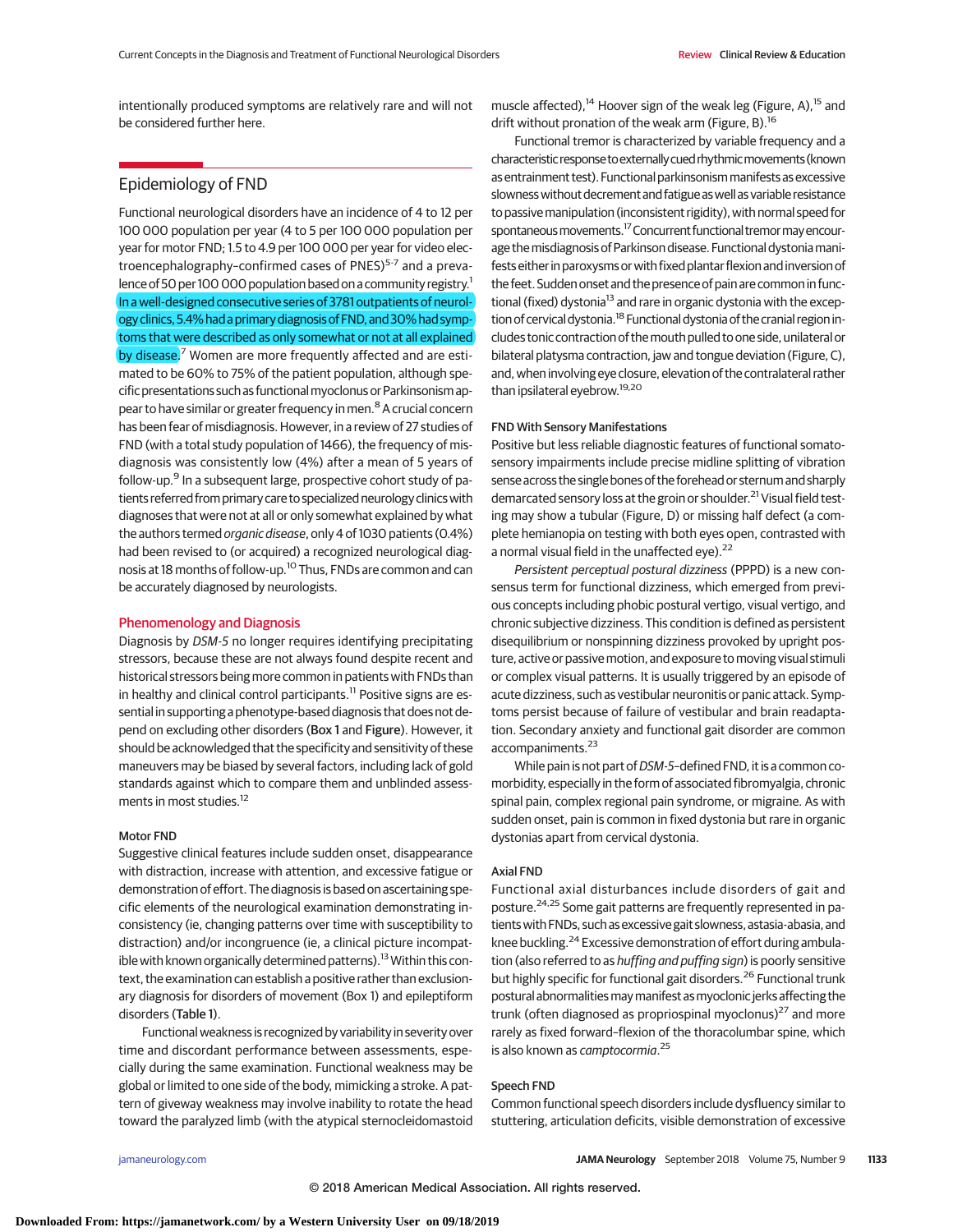intentionally produced symptoms are relatively rare and will not be considered further here.

# Epidemiology of FND

Functional neurological disorders have an incidence of 4 to 12 per 100 000 population per year (4 to 5 per 100 000 population per year for motor FND; 1.5 to 4.9 per 100 000 per year for video electroencephalography-confirmed cases of PNES)<sup>5-7</sup> and a prevalence of 50 per 100 000 population based on a community registry.<sup>1</sup> In a well-designed consecutive series of 3781 outpatients of neurology clinics, 5.4% had a primary diagnosis of FND, and 30% had symptoms that were described as only somewhat or not at all explained by disease.<sup>7</sup> Women are more frequently affected and are estimated to be 60% to 75% of the patient population, although specific presentations such as functionalmyoclonus or Parkinsonism appear to have similar or greater frequency in men.<sup>8</sup> A crucial concern has been fear of misdiagnosis. However, in a review of 27 studies of FND (with a total study population of 1466), the frequency of misdiagnosis was consistently low (4%) after a mean of 5 years of follow-up.<sup>9</sup> In a subsequent large, prospective cohort study of patients referred from primary care to specialized neurology clinicswith diagnoses that were not at all or only somewhat explained by what the authors termed organic disease, only 4 of 1030 patients (0.4%) had been revised to (or acquired) a recognized neurological diagnosis at 18 months of follow-up.<sup>10</sup> Thus, FNDs are common and can be accurately diagnosed by neurologists.

### Phenomenology and Diagnosis

Diagnosis by DSM-5 no longer requires identifying precipitating stressors, because these are not always found despite recent and historical stressors being more common in patients with FNDs than in healthy and clinical control participants.<sup>11</sup> Positive signs are essential in supporting a phenotype-based diagnosis that does not depend on excluding other disorders (Box 1 and Figure). However, it should be acknowledged that the specificity and sensitivity of these maneuvers may be biased by several factors, including lack of gold standards against which to compare them and unblinded assessments in most studies.<sup>12</sup>

### Motor FND

Suggestive clinical features include sudden onset, disappearance with distraction, increase with attention, and excessive fatigue or demonstration of effort. The diagnosis is based on ascertaining specific elements of the neurological examination demonstrating inconsistency (ie, changing patterns over time with susceptibility to distraction) and/or incongruence (ie, a clinical picture incompatible with known organically determined patterns).<sup>13</sup> Within this context, the examination can establish a positive rather than exclusionary diagnosis for disorders of movement (Box 1) and epileptiform disorders (Table 1).

Functional weakness is recognized by variability in severity over time and discordant performance between assessments, especially during the same examination. Functional weakness may be global or limited to one side of the body, mimicking a stroke. A pattern of giveway weakness may involve inability to rotate the head toward the paralyzed limb (with the atypical sternocleidomastoid muscle affected),<sup>14</sup> Hoover sign of the weak leg (Figure, A),<sup>15</sup> and drift without pronation of the weak arm (Figure, B).<sup>16</sup>

Functional tremor is characterized by variable frequency and a characteristicresponsetoexternallycuedrhythmicmovements (known as entrainment test). Functional parkinsonism manifests as excessive slowness without decrement and fatigue as well as variable resistance to passive manipulation (inconsistent rigidity), with normal speed for spontaneous movements.<sup>17</sup> Concurrent functional tremor may encourage the misdiagnosis of Parkinson disease. Functional dystonia manifests either in paroxysms or with fixed plantar flexion and inversion of the feet. Sudden onset and the presence of pain are common in functional (fixed) dystonia<sup>13</sup> and rare in organic dystonia with the exception of cervical dystonia.<sup>18</sup> Functional dystonia of the cranial region includes tonic contraction of themouth pulled to one side, unilateral or bilateral platysma contraction, jaw and tongue deviation (Figure, C), and, when involving eye closure, elevation of the contralateral rather than ipsilateral eyebrow.<sup>19,20</sup>

### FND With Sensory Manifestations

Positive but less reliable diagnostic features of functional somatosensory impairments include precise midline splitting of vibration sense across the single bones of the forehead or sternum and sharply demarcated sensory loss at the groin or shoulder.<sup>21</sup> Visual field testing may show a tubular (Figure, D) or missing half defect (a complete hemianopia on testing with both eyes open, contrasted with a normal visual field in the unaffected eye).<sup>22</sup>

Persistent perceptual postural dizziness (PPPD) is a new consensus term for functional dizziness, which emerged from previous concepts including phobic postural vertigo, visual vertigo, and chronic subjective dizziness. This condition is defined as persistent disequilibrium or nonspinning dizziness provoked by upright posture, active or passive motion, and exposure to moving visual stimuli or complex visual patterns. It is usually triggered by an episode of acute dizziness, such as vestibular neuronitis or panic attack. Symptoms persist because of failure of vestibular and brain readaptation. Secondary anxiety and functional gait disorder are common accompaniments.<sup>23</sup>

While pain is not part of DSM-5-defined FND, it is a common comorbidity, especially in the form of associated fibromyalgia, chronic spinal pain, complex regional pain syndrome, or migraine. As with sudden onset, pain is common in fixed dystonia but rare in organic dystonias apart from cervical dystonia.

### Axial FND

Functional axial disturbances include disorders of gait and posture.<sup>24,25</sup> Some gait patterns are frequently represented in patients with FNDs, such as excessive gait slowness, astasia-abasia, and knee buckling.<sup>24</sup> Excessive demonstration of effort during ambulation (also referred to as huffing and puffing sign) is poorly sensitive but highly specific for functional gait disorders.<sup>26</sup> Functional trunk postural abnormalities may manifest as myoclonic jerks affecting the trunk (often diagnosed as propriospinal myoclonus)<sup>27</sup> and more rarely as fixed forward–flexion of the thoracolumbar spine, which is also known as *camptocormia*.<sup>25</sup>

# Speech FND

Common functional speech disorders include dysfluency similar to stuttering, articulation deficits, visible demonstration of excessive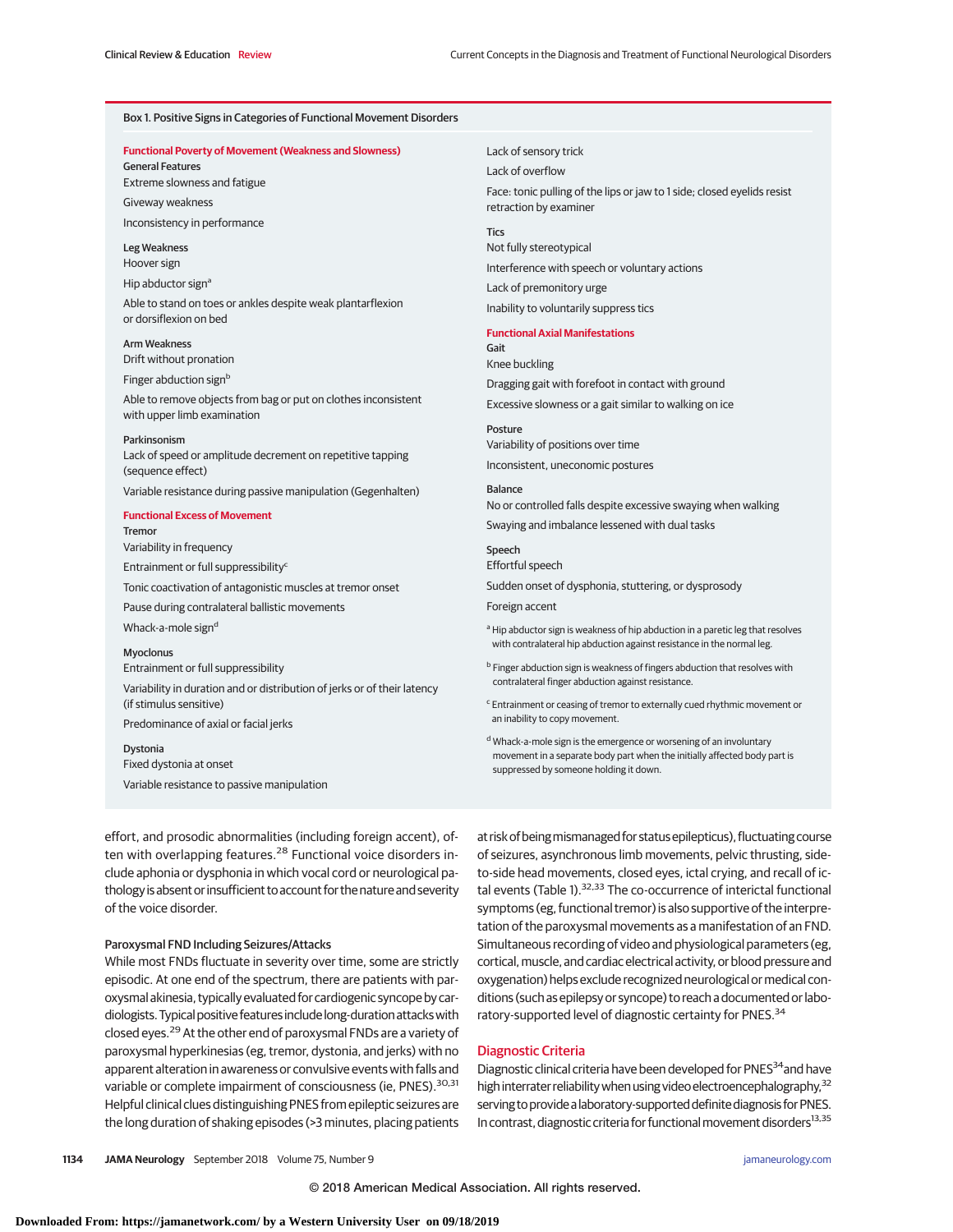# Box 1. Positive Signs in Categories of Functional Movement Disorders

### **Functional Poverty of Movement (Weakness and Slowness)** General Features

Extreme slowness and fatigue

Giveway weakness

Inconsistency in performance

Leg Weakness Hoover sign

Hip abductor sign<sup>a</sup>

Able to stand on toes or ankles despite weak plantarflexion or dorsiflexion on bed

### Arm Weakness

Drift without pronation

Finger abduction sign<sup>b</sup>

Able to remove objects from bag or put on clothes inconsistent with upper limb examination

### Parkinsonism

Lack of speed or amplitude decrement on repetitive tapping (sequence effect)

Variable resistance during passive manipulation (Gegenhalten)

### **Functional Excess of Movement**

Tremor Variability in frequency

Entrainment or full suppressibility<sup>c</sup>

Tonic coactivation of antagonistic muscles at tremor onset

Pause during contralateral ballistic movements

Whack-a-mole sign<sup>d</sup>

### Myoclonus

Entrainment or full suppressibility

Variability in duration and or distribution of jerks or of their latency (if stimulus sensitive)

Predominance of axial or facial jerks

Dystonia Fixed dystonia at onset Variable resistance to passive manipulation

effort, and prosodic abnormalities (including foreign accent), often with overlapping features.<sup>28</sup> Functional voice disorders include aphonia or dysphonia in which vocal cord or neurological pathology is absent or insufficient to account for the nature and severity of the voice disorder.

### Paroxysmal FND Including Seizures/Attacks

While most FNDs fluctuate in severity over time, some are strictly episodic. At one end of the spectrum, there are patients with paroxysmal akinesia, typically evaluated for cardiogenic syncope by cardiologists. Typical positive features include long-durationattackswith closed eyes.<sup>29</sup> At the other end of paroxysmal FNDs are a variety of paroxysmal hyperkinesias (eg, tremor, dystonia, and jerks) with no apparent alteration in awareness or convulsive events with falls and variable or complete impairment of consciousness (ie, PNES).<sup>30,31</sup> Helpful clinical clues distinguishing PNES from epileptic seizures are the long duration of shaking episodes (>3 minutes, placing patients

Lack of sensory trick Lack of overflow Face: tonic pulling of the lips or jaw to 1 side; closed eyelids resist retraction by examiner

**Tics** Not fully stereotypical Interference with speech or voluntary actions

Lack of premonitory urge

Inability to voluntarily suppress tics

### **Functional Axial Manifestations** Gait

Knee buckling

Dragging gait with forefoot in contact with ground

Excessive slowness or a gait similar to walking on ice

Posture Variability of positions over time

Inconsistent, uneconomic postures Balance

No or controlled falls despite excessive swaying when walking Swaying and imbalance lessened with dual tasks

Speech Effortful speech

Sudden onset of dysphonia, stuttering, or dysprosody

Foreign accent

<sup>a</sup> Hip abductor sign is weakness of hip abduction in a paretic leg that resolves with contralateral hip abduction against resistance in the normal leg.

- <sup>b</sup> Finger abduction sign is weakness of fingers abduction that resolves with contralateral finger abduction against resistance.
- <sup>c</sup> Entrainment or ceasing of tremor to externally cued rhythmic movement or an inability to copy movement.
- d Whack-a-mole sign is the emergence or worsening of an involuntary movement in a separate body part when the initially affected body part is suppressed by someone holding it down.

at risk of being mismanaged for status epilepticus), fluctuating course of seizures, asynchronous limb movements, pelvic thrusting, sideto-side head movements, closed eyes, ictal crying, and recall of ictal events (Table 1).<sup>32,33</sup> The co-occurrence of interictal functional symptoms (eg, functional tremor) is also supportive of the interpretation of the paroxysmal movements as a manifestation of an FND. Simultaneous recording of video and physiological parameters (eg, cortical,muscle, and cardiac electrical activity, or blood pressure and oxygenation) helps exclude recognized neurological ormedical conditions (such as epilepsy or syncope) to reach a documented or laboratory-supported level of diagnostic certainty for PNES.<sup>34</sup>

# Diagnostic Criteria

Diagnostic clinical criteria have been developed for PNES<sup>34</sup>and have high interrater reliability when using video electroencephalography,<sup>32</sup> serving to provide a laboratory-supported definite diagnosis for PNES. In contrast, diagnostic criteria for functional movement disorders $^{13,35}$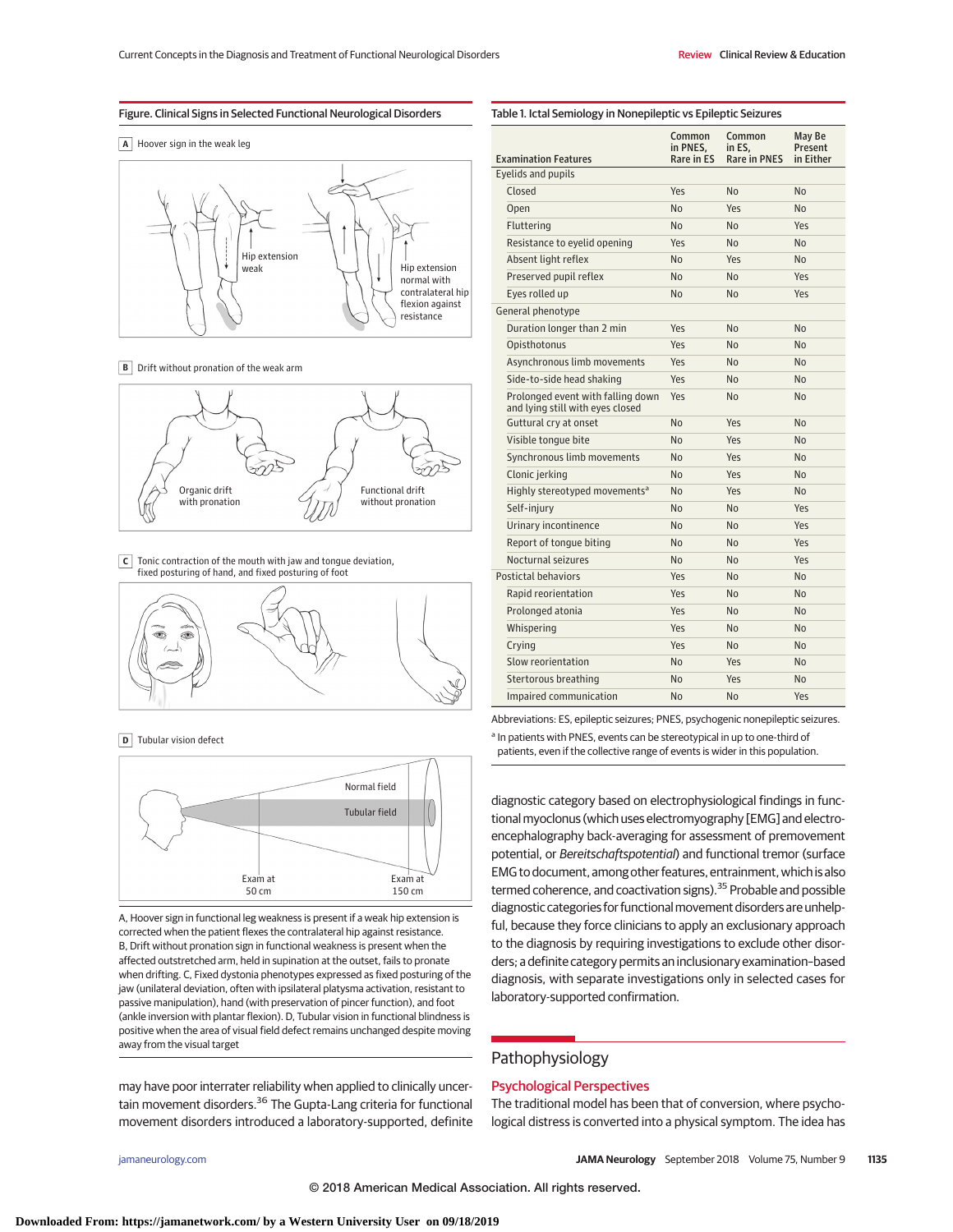### Figure. Clinical Signs in Selected Functional Neurological Disorders

### **A** Hoover sign in the weak leg



**B** Drift without pronation of the weak arm



Tonic contraction of the mouth with jaw and tongue deviation, **C** fixed posturing of hand, and fixed posturing of foot



**D** Tubular vision defect



A, Hoover sign in functional leg weakness is present if a weak hip extension is corrected when the patient flexes the contralateral hip against resistance. B, Drift without pronation sign in functional weakness is present when the affected outstretched arm, held in supination at the outset, fails to pronate when drifting. C, Fixed dystonia phenotypes expressed as fixed posturing of the jaw (unilateral deviation, often with ipsilateral platysma activation, resistant to passive manipulation), hand (with preservation of pincer function), and foot (ankle inversion with plantar flexion). D, Tubular vision in functional blindness is positive when the area of visual field defect remains unchanged despite moving away from the visual target

may have poor interrater reliability when applied to clinically uncertain movement disorders.<sup>36</sup> The Gupta-Lang criteria for functional movement disorders introduced a laboratory-supported, definite Table 1. Ictal Semiology in Nonepileptic vs Epileptic Seizures

| <b>Examination Features</b>                                           | <b>Common</b><br>in PNES.<br>Rare in ES | Common<br>in ES.<br><b>Rare in PNES</b> | May Be<br>Present<br>in Fither |  |  |  |  |  |  |
|-----------------------------------------------------------------------|-----------------------------------------|-----------------------------------------|--------------------------------|--|--|--|--|--|--|
| Eyelids and pupils                                                    |                                         |                                         |                                |  |  |  |  |  |  |
| Closed                                                                | Yes                                     | No                                      | No                             |  |  |  |  |  |  |
| Open                                                                  | N <sub>0</sub>                          | Yes                                     | No                             |  |  |  |  |  |  |
| Fluttering                                                            | N <sub>0</sub>                          | No                                      | Yes                            |  |  |  |  |  |  |
| Resistance to eyelid opening                                          | Yes                                     | No                                      | No                             |  |  |  |  |  |  |
| Absent light reflex                                                   | N <sub>0</sub>                          | Yes                                     | No                             |  |  |  |  |  |  |
| Preserved pupil reflex                                                | N <sub>o</sub>                          | No                                      | Yes                            |  |  |  |  |  |  |
| Eyes rolled up                                                        | N <sub>0</sub>                          | No                                      | Yes                            |  |  |  |  |  |  |
| General phenotype                                                     |                                         |                                         |                                |  |  |  |  |  |  |
| Duration longer than 2 min                                            | Yes                                     | No                                      | No                             |  |  |  |  |  |  |
| Opisthotonus                                                          | Yes                                     | No                                      | No                             |  |  |  |  |  |  |
| Asynchronous limb movements                                           | Yes                                     | No                                      | No                             |  |  |  |  |  |  |
| Side-to-side head shaking                                             | <b>Yes</b>                              | No                                      | No                             |  |  |  |  |  |  |
| Prolonged event with falling down<br>and lying still with eyes closed | Yes                                     | No                                      | No                             |  |  |  |  |  |  |
| Guttural cry at onset                                                 | N <sub>0</sub>                          | Yes                                     | No                             |  |  |  |  |  |  |
| Visible tonque bite                                                   | N <sub>0</sub>                          | Yes                                     | No                             |  |  |  |  |  |  |
| Synchronous limb movements                                            | N <sub>0</sub>                          | Yes                                     | No                             |  |  |  |  |  |  |
| Clonic jerking                                                        | N <sub>0</sub>                          | Yes                                     | No                             |  |  |  |  |  |  |
| Highly stereotyped movements <sup>a</sup>                             | N <sub>0</sub>                          | Yρς                                     | No                             |  |  |  |  |  |  |
| Self-injury                                                           | N <sub>0</sub>                          | No                                      | Yes                            |  |  |  |  |  |  |
| Urinary incontinence                                                  | N <sub>0</sub>                          | No                                      | Yes                            |  |  |  |  |  |  |
| Report of tonque biting                                               | N <sub>0</sub>                          | No                                      | Yes                            |  |  |  |  |  |  |
| Nocturnal seizures                                                    | N <sub>0</sub>                          | No                                      | Yes                            |  |  |  |  |  |  |
| Postictal behaviors                                                   | Yes                                     | No                                      | No                             |  |  |  |  |  |  |
| Rapid reorientation                                                   | Yes                                     | No                                      | No                             |  |  |  |  |  |  |
| Prolonged atonia                                                      | Yes                                     | No                                      | No                             |  |  |  |  |  |  |
| Whispering                                                            | Yes                                     | No                                      | No                             |  |  |  |  |  |  |
| Crying                                                                | Yes                                     | N <sub>0</sub>                          | No                             |  |  |  |  |  |  |
| Slow reorientation                                                    | N <sub>0</sub>                          | Yes                                     | No                             |  |  |  |  |  |  |
| Stertorous breathing                                                  | N <sub>0</sub>                          | Yes                                     | No                             |  |  |  |  |  |  |
| Impaired communication                                                | N <sub>0</sub>                          | No                                      | Yes                            |  |  |  |  |  |  |

Abbreviations: ES, epileptic seizures; PNES, psychogenic nonepileptic seizures. <sup>a</sup> In patients with PNES, events can be stereotypical in up to one-third of patients, even if the collective range of events is wider in this population.

diagnostic category based on electrophysiological findings in functional myoclonus (which uses electromyography [EMG] and electroencephalography back-averaging for assessment of premovement potential, or Bereitschaftspotential) and functional tremor (surface EMG to document, among other features, entrainment, which is also termed coherence, and coactivation signs).<sup>35</sup> Probable and possible diagnostic categories for functionalmovement disorders are unhelpful, because they force clinicians to apply an exclusionary approach to the diagnosis by requiring investigations to exclude other disorders; a definite category permits an inclusionary examination–based diagnosis, with separate investigations only in selected cases for laboratory-supported confirmation.

# Pathophysiology

# Psychological Perspectives

The traditional model has been that of conversion, where psychological distress is converted into a physical symptom. The idea has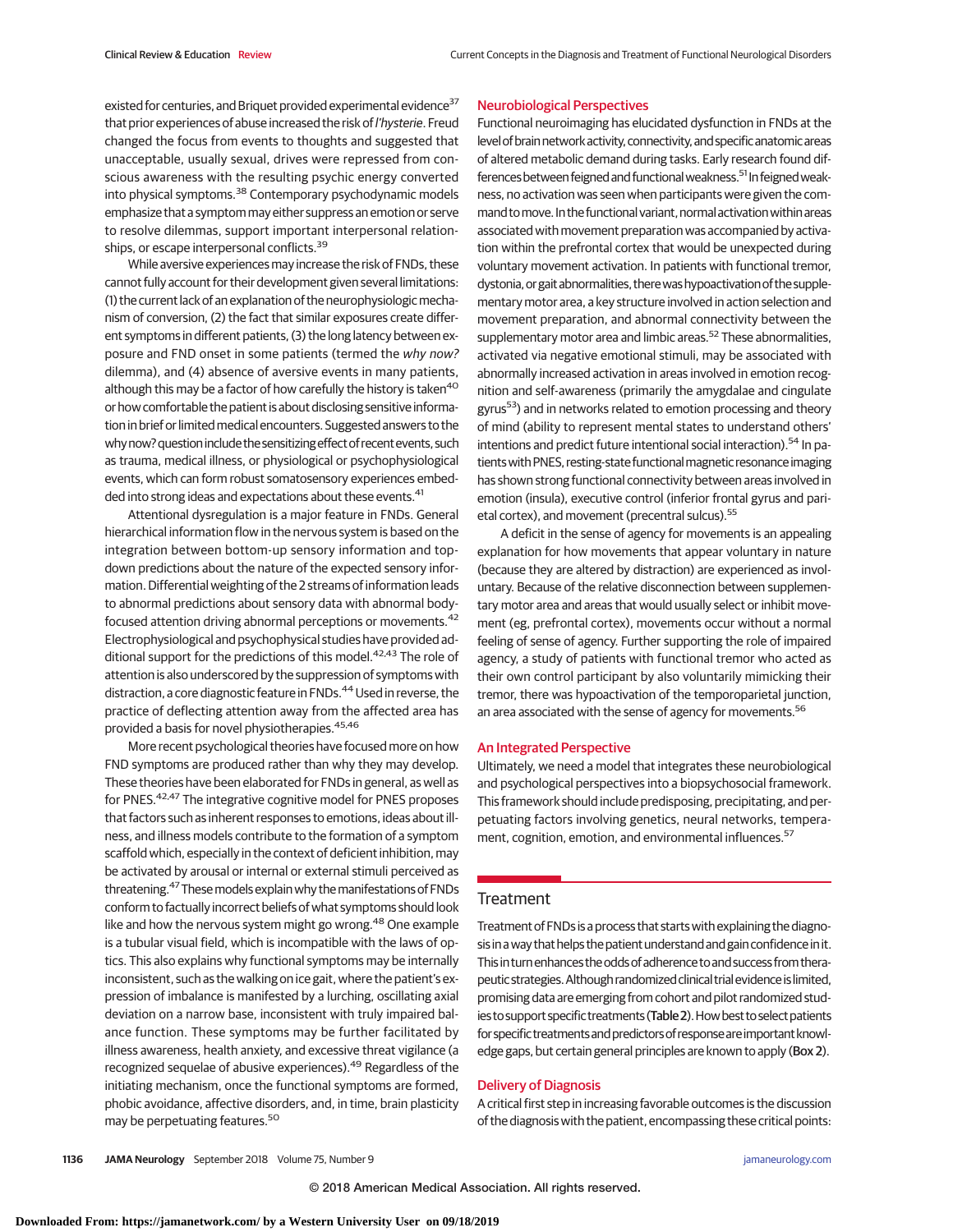existed for centuries, and Briquet provided experimental evidence<sup>37</sup> that prior experiences of abuse increased the risk of l'hysterie. Freud changed the focus from events to thoughts and suggested that unacceptable, usually sexual, drives were repressed from conscious awareness with the resulting psychic energy converted into physical symptoms.<sup>38</sup> Contemporary psychodynamic models emphasize that a symptommay either suppress an emotion or serve to resolve dilemmas, support important interpersonal relationships, or escape interpersonal conflicts.<sup>39</sup>

While aversive experiences may increase the risk of FNDs, these cannot fully account for their development given several limitations: (1) the current lack of an explanation of the neurophysiologicmechanism of conversion, (2) the fact that similar exposures create different symptoms in different patients, (3) the long latency between exposure and FND onset in some patients (termed the why now? dilemma), and (4) absence of aversive events in many patients, although this may be a factor of how carefully the history is taken<sup>40</sup> or how comfortable the patient is about disclosing sensitive information in brief or limited medical encounters. Suggested answers to the why now? question include the sensitizing effect of recent events, such as trauma, medical illness, or physiological or psychophysiological events, which can form robust somatosensory experiences embedded into strong ideas and expectations about these events.<sup>41</sup>

Attentional dysregulation is a major feature in FNDs. General hierarchical information flow in the nervous system is based on the integration between bottom-up sensory information and topdown predictions about the nature of the expected sensory information. Differential weighting of the 2 streams of information leads to abnormal predictions about sensory data with abnormal bodyfocused attention driving abnormal perceptions or movements.<sup>42</sup> Electrophysiological and psychophysical studies have provided additional support for the predictions of this model.<sup>42,43</sup> The role of attention is also underscored by the suppression of symptoms with distraction, a core diagnostic feature in FNDs.<sup>44</sup> Used in reverse, the practice of deflecting attention away from the affected area has provided a basis for novel physiotherapies.<sup>45,46</sup>

More recent psychological theories have focused more on how FND symptoms are produced rather than why they may develop. These theories have been elaborated for FNDs in general, as well as for PNES.<sup>42,47</sup> The integrative cognitive model for PNES proposes that factors such as inherent responses to emotions, ideas about illness, and illness models contribute to the formation of a symptom scaffold which, especially in the context of deficient inhibition, may be activated by arousal or internal or external stimuli perceived as threatening.<sup>47</sup> These models explain why the manifestations of FNDs conform to factually incorrect beliefs of what symptoms should look like and how the nervous system might go wrong.<sup>48</sup> One example is a tubular visual field, which is incompatible with the laws of optics. This also explains why functional symptoms may be internally inconsistent, such as the walking on ice gait, where the patient's expression of imbalance is manifested by a lurching, oscillating axial deviation on a narrow base, inconsistent with truly impaired balance function. These symptoms may be further facilitated by illness awareness, health anxiety, and excessive threat vigilance (a recognized sequelae of abusive experiences).<sup>49</sup> Regardless of the initiating mechanism, once the functional symptoms are formed, phobic avoidance, affective disorders, and, in time, brain plasticity may be perpetuating features.<sup>50</sup>

### Neurobiological Perspectives

Functional neuroimaging has elucidated dysfunction in FNDs at the level of brain network activity, connectivity, and specific anatomic areas of altered metabolic demand during tasks. Early research found differences between feigned and functional weakness.<sup>51</sup> In feigned weakness, no activation was seen when participants were given the command to move. In the functional variant, normal activation within areas associated with movement preparation was accompanied by activation within the prefrontal cortex that would be unexpected during voluntary movement activation. In patients with functional tremor, dystonia, or gait abnormalities, there was hypoactivation of the supplementary motor area, a key structure involved in action selection and movement preparation, and abnormal connectivity between the supplementary motor area and limbic areas.<sup>52</sup> These abnormalities, activated via negative emotional stimuli, may be associated with abnormally increased activation in areas involved in emotion recognition and self-awareness (primarily the amygdalae and cingulate gyrus<sup>53</sup>) and in networks related to emotion processing and theory of mind (ability to represent mental states to understand others' intentions and predict future intentional social interaction).<sup>54</sup> In patients with PNES, resting-state functional magnetic resonance imaging has shown strong functional connectivity between areas involved in emotion (insula), executive control (inferior frontal gyrus and parietal cortex), and movement (precentral sulcus).<sup>55</sup>

A deficit in the sense of agency for movements is an appealing explanation for how movements that appear voluntary in nature (because they are altered by distraction) are experienced as involuntary. Because of the relative disconnection between supplementary motor area and areas that would usually select or inhibit movement (eg, prefrontal cortex), movements occur without a normal feeling of sense of agency. Further supporting the role of impaired agency, a study of patients with functional tremor who acted as their own control participant by also voluntarily mimicking their tremor, there was hypoactivation of the temporoparietal junction, an area associated with the sense of agency for movements.<sup>56</sup>

### An Integrated Perspective

Ultimately, we need a model that integrates these neurobiological and psychological perspectives into a biopsychosocial framework. This framework should include predisposing, precipitating, and perpetuating factors involving genetics, neural networks, temperament, cognition, emotion, and environmental influences.<sup>57</sup>

# **Treatment**

Treatment of FNDs is a process that startswithexplaining the diagnosis in a way that helps the patient understand and gain confidence in it. This in turn enhances the odds of adherence to and success from therapeuticstrategies.Although randomizedclinical trialevidenceislimited, promising data are emerging from cohort and pilot randomized studies to support specific treatments (Table 2). How best to select patients for specific treatments and predictors of response are important knowledge gaps, but certain general principles are known to apply (Box 2).

### Delivery of Diagnosis

A critical first step in increasing favorable outcomes is the discussion of the diagnosis with the patient, encompassing these critical points: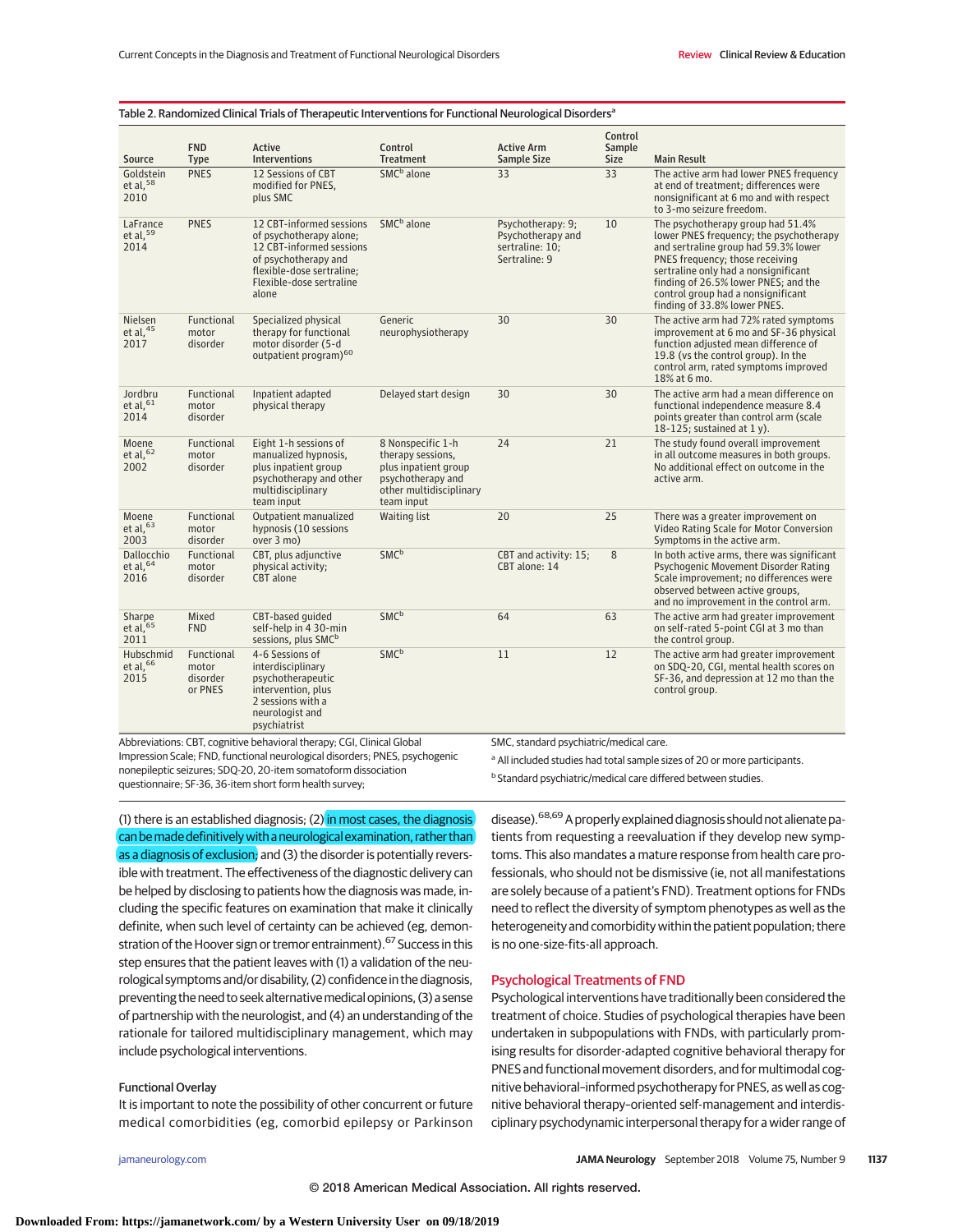| Table 2. Randomized Clinical Trials of Therapeutic Interventions for Functional Neurological Disorders <sup>a</sup> |                                            |                                                                                                                                                                           |                                                                                                                              |                                                                            |                                  |                                                                                                                                                                                                                                                                                                               |  |
|---------------------------------------------------------------------------------------------------------------------|--------------------------------------------|---------------------------------------------------------------------------------------------------------------------------------------------------------------------------|------------------------------------------------------------------------------------------------------------------------------|----------------------------------------------------------------------------|----------------------------------|---------------------------------------------------------------------------------------------------------------------------------------------------------------------------------------------------------------------------------------------------------------------------------------------------------------|--|
| <b>Source</b>                                                                                                       | <b>FND</b><br><b>Type</b>                  | Active<br><b>Interventions</b>                                                                                                                                            | Control<br><b>Treatment</b>                                                                                                  | <b>Active Arm</b><br><b>Sample Size</b>                                    | Control<br>Sample<br><b>Size</b> | <b>Main Result</b>                                                                                                                                                                                                                                                                                            |  |
| Goldstein<br>et al, $58$<br>2010                                                                                    | <b>PNES</b>                                | 12 Sessions of CBT<br>modified for PNES,<br>plus SMC                                                                                                                      | SMC <sup>b</sup> alone                                                                                                       | 33                                                                         | 33                               | The active arm had lower PNES frequency<br>at end of treatment; differences were<br>nonsignificant at 6 mo and with respect<br>to 3-mo seizure freedom.                                                                                                                                                       |  |
| LaFrance<br>et al, $59$<br>2014                                                                                     | <b>PNES</b>                                | 12 CBT-informed sessions<br>of psychotherapy alone;<br>12 CBT-informed sessions<br>of psychotherapy and<br>flexible-dose sertraline;<br>Flexible-dose sertraline<br>alone | SMC <sup>b</sup> alone                                                                                                       | Psychotherapy: 9;<br>Psychotherapy and<br>sertraline: 10;<br>Sertraline: 9 | 10                               | The psychotherapy group had 51.4%<br>lower PNES frequency; the psychotherapy<br>and sertraline group had 59.3% lower<br>PNES frequency; those receiving<br>sertraline only had a nonsignificant<br>finding of 26.5% lower PNES; and the<br>control group had a nonsignificant<br>finding of 33.8% lower PNES. |  |
| Nielsen<br>et al, $45$<br>2017                                                                                      | Functional<br>motor<br>disorder            | Specialized physical<br>therapy for functional<br>motor disorder (5-d<br>outpatient program) <sup>60</sup>                                                                | Generic<br>neurophysiotherapy                                                                                                | 30                                                                         | 30                               | The active arm had 72% rated symptoms<br>improvement at 6 mo and SF-36 physical<br>function adjusted mean difference of<br>19.8 (vs the control group). In the<br>control arm, rated symptoms improved<br>18% at 6 mo.                                                                                        |  |
| Jordbru<br>et al, $61$<br>2014                                                                                      | Functional<br>motor<br>disorder            | Inpatient adapted<br>physical therapy                                                                                                                                     | Delayed start design                                                                                                         | 30                                                                         | 30                               | The active arm had a mean difference on<br>functional independence measure 8.4<br>points greater than control arm (scale<br>18-125; sustained at $1 y$ ).                                                                                                                                                     |  |
| Moene<br>et al, $62$<br>2002                                                                                        | Functional<br>motor<br>disorder            | Eight 1-h sessions of<br>manualized hypnosis,<br>plus inpatient group<br>psychotherapy and other<br>multidisciplinary<br>team input                                       | 8 Nonspecific 1-h<br>therapy sessions,<br>plus inpatient group<br>psychotherapy and<br>other multidisciplinary<br>team input | 24                                                                         | 21                               | The study found overall improvement<br>in all outcome measures in both groups.<br>No additional effect on outcome in the<br>active arm.                                                                                                                                                                       |  |
| Moene<br>et al, $63$<br>2003                                                                                        | Functional<br>motor<br>disorder            | Outpatient manualized<br>hypnosis (10 sessions<br>over 3 mo)                                                                                                              | Waiting list                                                                                                                 | 20                                                                         | 25                               | There was a greater improvement on<br>Video Rating Scale for Motor Conversion<br>Symptoms in the active arm.                                                                                                                                                                                                  |  |
| Dallocchio<br>et al, $64$<br>2016                                                                                   | Functional<br>motor<br>disorder            | CBT, plus adjunctive<br>physical activity;<br>CBT alone                                                                                                                   | <b>SMC</b> b                                                                                                                 | CBT and activity: 15;<br>CBT alone: 14                                     | 8                                | In both active arms, there was significant<br>Psychogenic Movement Disorder Rating<br>Scale improvement; no differences were<br>observed between active groups,<br>and no improvement in the control arm.                                                                                                     |  |
| Sharpe<br>et al, $65$<br>2011                                                                                       | Mixed<br><b>FND</b>                        | CBT-based quided<br>self-help in 4 30-min<br>sessions, plus SMC <sup>b</sup>                                                                                              | SMC <sup>b</sup>                                                                                                             | 64                                                                         | 63                               | The active arm had greater improvement<br>on self-rated 5-point CGI at 3 mo than<br>the control group.                                                                                                                                                                                                        |  |
| Hubschmid<br>et al, $66$<br>2015                                                                                    | Functional<br>motor<br>disorder<br>or PNES | 4-6 Sessions of<br>interdisciplinary<br>psychotherapeutic<br>intervention, plus<br>2 sessions with a<br>neurologist and<br>psychiatrist                                   | SMC <sup>b</sup>                                                                                                             | 11                                                                         | 12                               | The active arm had greater improvement<br>on SDQ-20, CGI, mental health scores on<br>SF-36, and depression at 12 mo than the<br>control group.                                                                                                                                                                |  |

Abbreviations: CBT, cognitive behavioral therapy; CGI, Clinical Global Impression Scale; FND, functional neurological disorders; PNES, psychogenic nonepileptic seizures; SDQ-20, 20-item somatoform dissociation questionnaire; SF-36, 36-item short form health survey;

SMC, standard psychiatric/medical care.

is no one-size-fits-all approach.

Psychological Treatments of FND

a All included studies had total sample sizes of 20 or more participants.

disease). <sup>68,69</sup> A properly explained diagnosis should not alienate patients from requesting a reevaluation if they develop new symptoms. This also mandates a mature response from health care professionals, who should not be dismissive (ie, not all manifestations are solely because of a patient's FND). Treatment options for FNDs need to reflect the diversity of symptom phenotypes as well as the heterogeneity and comorbidity within the patient population; there

Psychological interventions have traditionally been considered the treatment of choice. Studies of psychological therapies have been undertaken in subpopulations with FNDs, with particularly promising results for disorder-adapted cognitive behavioral therapy for PNES and functional movement disorders, and for multimodal cognitive behavioral–informed psychotherapy for PNES, as well as cognitive behavioral therapy–oriented self-management and interdisciplinary psychodynamic interpersonal therapy for a wider range of

**b** Standard psychiatric/medical care differed between studies.

(1) there is an established diagnosis; (2) in most cases, the diagnosis can be made definitively with a neurological examination, rather than as a diagnosis of exclusion; and (3) the disorder is potentially reversible with treatment. The effectiveness of the diagnostic delivery can be helped by disclosing to patients how the diagnosis was made, including the specific features on examination that make it clinically definite, when such level of certainty can be achieved (eg, demonstration of the Hoover sign or tremor entrainment).<sup>67</sup> Success in this step ensures that the patient leaves with (1) a validation of the neurological symptoms and/or disability, (2) confidence in the diagnosis, preventing the need to seek alternativemedical opinions, (3) a sense of partnership with the neurologist, and (4) an understanding of the rationale for tailored multidisciplinary management, which may include psychological interventions.

## Functional Overlay

It is important to note the possibility of other concurrent or future medical comorbidities (eg, comorbid epilepsy or Parkinson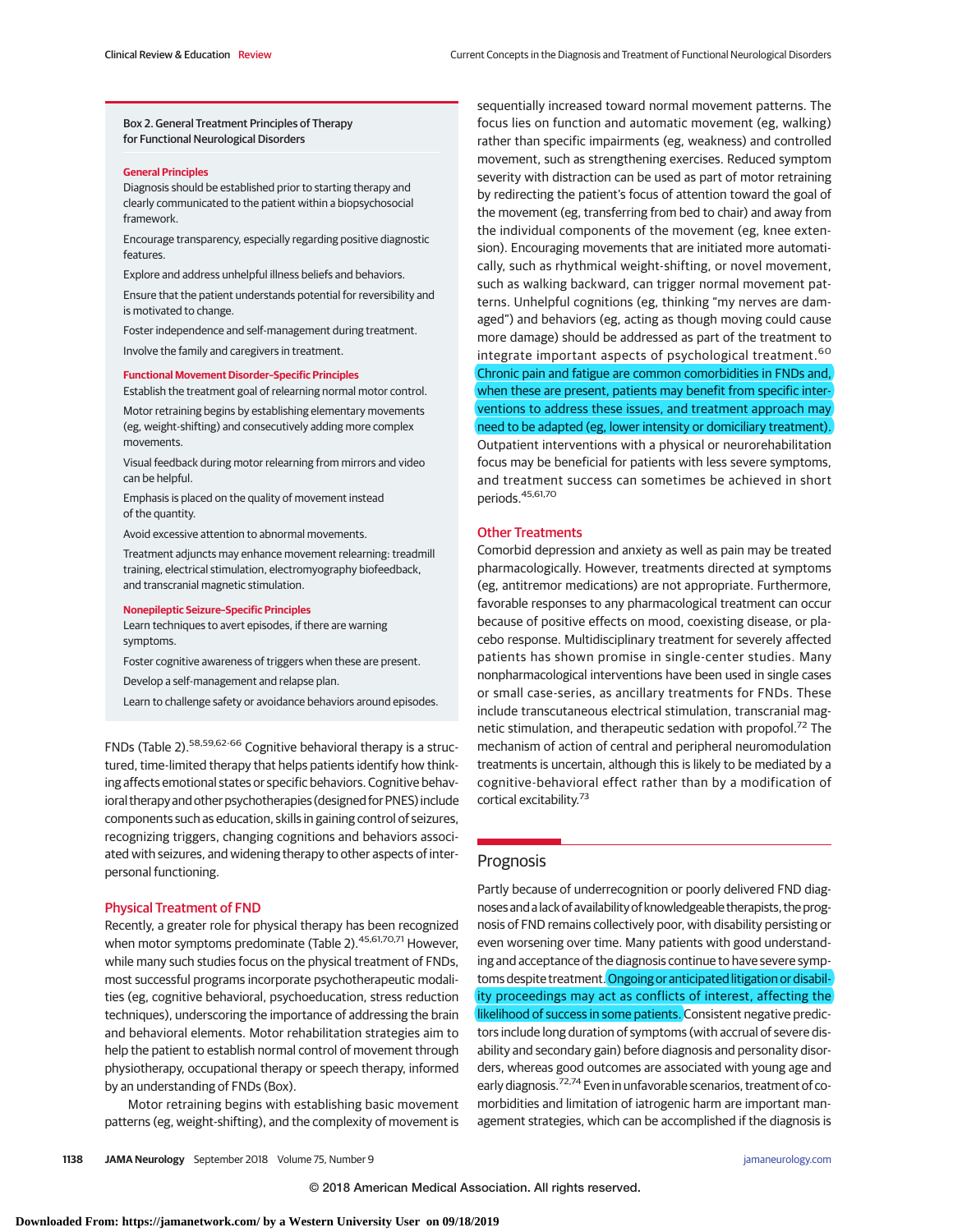Box 2. General Treatment Principles of Therapy for Functional Neurological Disorders

#### **General Principles**

Diagnosis should be established prior to starting therapy and clearly communicated to the patient within a biopsychosocial framework.

Encourage transparency, especially regarding positive diagnostic features.

Explore and address unhelpful illness beliefs and behaviors.

Ensure that the patient understands potential for reversibility and is motivated to change.

Foster independence and self-management during treatment. Involve the family and caregivers in treatment.

### **Functional Movement Disorder–Specific Principles**

Establish the treatment goal of relearning normal motor control.

Motor retraining begins by establishing elementary movements (eg, weight-shifting) and consecutively adding more complex movements.

Visual feedback during motor relearning from mirrors and video can be helpful.

Emphasis is placed on the quality of movement instead of the quantity.

Avoid excessive attention to abnormal movements.

Treatment adjuncts may enhance movement relearning: treadmill training, electrical stimulation, electromyography biofeedback, and transcranial magnetic stimulation.

## **Nonepileptic Seizure–Specific Principles**

Learn techniques to avert episodes, if there are warning symptoms.

Foster cognitive awareness of triggers when these are present.

Develop a self-management and relapse plan.

Learn to challenge safety or avoidance behaviors around episodes.

FNDs (Table 2).<sup>58,59,62-66</sup> Cognitive behavioral therapy is a structured, time-limited therapy that helps patients identify how thinking affects emotional states or specific behaviors. Cognitive behavioral therapy and other psychotherapies (designed for PNES) include components such as education, skills in gaining control of seizures, recognizing triggers, changing cognitions and behaviors associated with seizures, and widening therapy to other aspects of interpersonal functioning.

# Physical Treatment of FND

Recently, a greater role for physical therapy has been recognized when motor symptoms predominate (Table 2).<sup>45,61,70,71</sup> However, while many such studies focus on the physical treatment of FNDs, most successful programs incorporate psychotherapeutic modalities (eg, cognitive behavioral, psychoeducation, stress reduction techniques), underscoring the importance of addressing the brain and behavioral elements. Motor rehabilitation strategies aim to help the patient to establish normal control of movement through physiotherapy, occupational therapy or speech therapy, informed by an understanding of FNDs (Box).

Motor retraining begins with establishing basic movement patterns (eg, weight-shifting), and the complexity of movement is sequentially increased toward normal movement patterns. The focus lies on function and automatic movement (eg, walking) rather than specific impairments (eg, weakness) and controlled movement, such as strengthening exercises. Reduced symptom severity with distraction can be used as part of motor retraining by redirecting the patient's focus of attention toward the goal of the movement (eg, transferring from bed to chair) and away from the individual components of the movement (eg, knee extension). Encouraging movements that are initiated more automatically, such as rhythmical weight-shifting, or novel movement, such as walking backward, can trigger normal movement patterns. Unhelpful cognitions (eg, thinking "my nerves are damaged") and behaviors (eg, acting as though moving could cause more damage) should be addressed as part of the treatment to integrate important aspects of psychological treatment.<sup>60</sup> Chronic pain and fatigue are common comorbidities in FNDs and, when these are present, patients may benefit from specific interventions to address these issues, and treatment approach may need to be adapted (eg, lower intensity or domiciliary treatment). Outpatient interventions with a physical or neurorehabilitation focus may be beneficial for patients with less severe symptoms, and treatment success can sometimes be achieved in short periods.45,61,70

### Other Treatments

Comorbid depression and anxiety as well as pain may be treated pharmacologically. However, treatments directed at symptoms (eg, antitremor medications) are not appropriate. Furthermore, favorable responses to any pharmacological treatment can occur because of positive effects on mood, coexisting disease, or placebo response. Multidisciplinary treatment for severely affected patients has shown promise in single-center studies. Many nonpharmacological interventions have been used in single cases or small case-series, as ancillary treatments for FNDs. These include transcutaneous electrical stimulation, transcranial magnetic stimulation, and therapeutic sedation with propofol.<sup>72</sup> The mechanism of action of central and peripheral neuromodulation treatments is uncertain, although this is likely to be mediated by a cognitive-behavioral effect rather than by a modification of cortical excitability.<sup>73</sup>

# Prognosis

Partly because of underrecognition or poorly delivered FND diagnoses and a lack of availability of knowledgeable therapists, the prognosis of FND remains collectively poor, with disability persisting or even worsening over time. Many patients with good understanding and acceptance of the diagnosis continue to have severe symptoms despite treatment. Ongoing or anticipated litigation or disability proceedings may act as conflicts of interest, affecting the likelihood of success in some patients. Consistent negative predictors include long duration of symptoms (with accrual of severe disability and secondary gain) before diagnosis and personality disorders, whereas good outcomes are associated with young age and early diagnosis.<sup>72,74</sup> Even in unfavorable scenarios, treatment of comorbidities and limitation of iatrogenic harm are important management strategies, which can be accomplished if the diagnosis is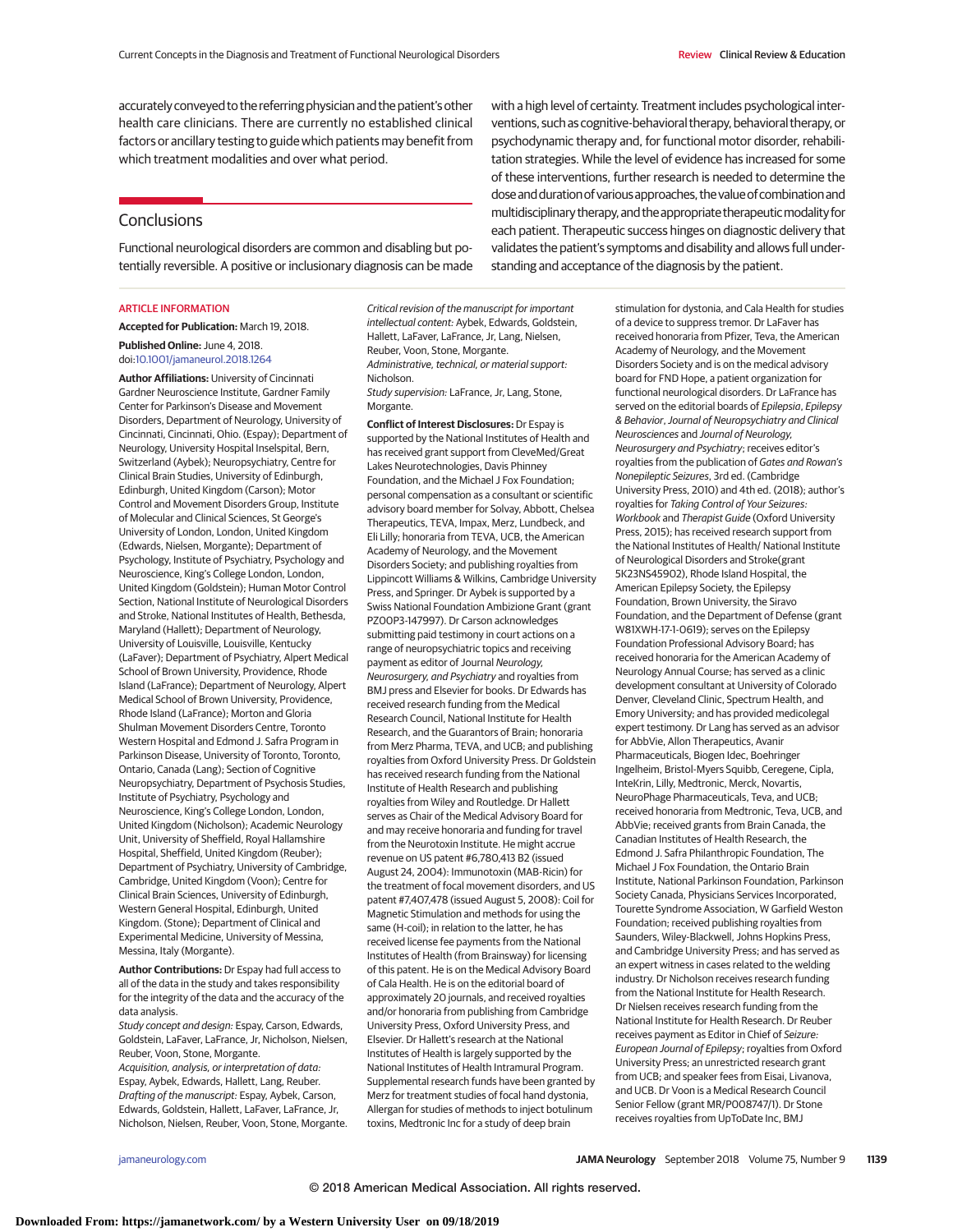accurately conveyed to the referring physicianand the patient's other health care clinicians. There are currently no established clinical factors or ancillary testing to guide which patients may benefit from which treatment modalities and over what period.

# **Conclusions**

Functional neurological disorders are common and disabling but potentially reversible. A positive or inclusionary diagnosis can be made

### ARTICLE INFORMATION

**Accepted for Publication:** March 19, 2018.

### **Published Online:** June 4, 2018. doi[:10.1001/jamaneurol.2018.1264](https://jama.jamanetwork.com/article.aspx?doi=10.1001/jamaneurol.2018.1264&utm_campaign=articlePDF%26utm_medium=articlePDFlink%26utm_source=articlePDF%26utm_content=jamaneurol.2018.1264)

**Author Affiliations:** University of Cincinnati Gardner Neuroscience Institute, Gardner Family Center for Parkinson's Disease and Movement Disorders, Department of Neurology, University of Cincinnati, Cincinnati, Ohio. (Espay); Department of Neurology, University Hospital Inselspital, Bern, Switzerland (Aybek); Neuropsychiatry, Centre for Clinical Brain Studies, University of Edinburgh, Edinburgh, United Kingdom (Carson); Motor Control and Movement Disorders Group, Institute of Molecular and Clinical Sciences, St George's University of London, London, United Kingdom (Edwards, Nielsen, Morgante); Department of Psychology, Institute of Psychiatry, Psychology and Neuroscience, King's College London, London, United Kingdom (Goldstein); Human Motor Control Section, National Institute of Neurological Disorders and Stroke, National Institutes of Health, Bethesda, Maryland (Hallett); Department of Neurology, University of Louisville, Louisville, Kentucky (LaFaver); Department of Psychiatry, Alpert Medical School of Brown University, Providence, Rhode Island (LaFrance); Department of Neurology, Alpert Medical School of Brown University, Providence, Rhode Island (LaFrance); Morton and Gloria Shulman Movement Disorders Centre, Toronto Western Hospital and Edmond J. Safra Program in Parkinson Disease, University of Toronto, Toronto, Ontario, Canada (Lang); Section of Cognitive Neuropsychiatry, Department of Psychosis Studies, Institute of Psychiatry, Psychology and Neuroscience, King's College London, London, United Kingdom (Nicholson); Academic Neurology Unit, University of Sheffield, Royal Hallamshire Hospital, Sheffield, United Kingdom (Reuber); Department of Psychiatry, University of Cambridge, Cambridge, United Kingdom (Voon); Centre for Clinical Brain Sciences, University of Edinburgh, Western General Hospital, Edinburgh, United Kingdom. (Stone); Department of Clinical and Experimental Medicine, University of Messina, Messina, Italy (Morgante).

**Author Contributions:** Dr Espay had full access to all of the data in the study and takes responsibility for the integrity of the data and the accuracy of the data analysis.

Study concept and design: Espay, Carson, Edwards, Goldstein, LaFaver, LaFrance, Jr, Nicholson, Nielsen, Reuber, Voon, Stone, Morgante. Acquisition, analysis, or interpretation of data: Espay, Aybek, Edwards, Hallett, Lang, Reuber.

Drafting of the manuscript: Espay, Aybek, Carson, Edwards, Goldstein, Hallett, LaFaver, LaFrance, Jr, Nicholson, Nielsen, Reuber, Voon, Stone, Morgante.

Critical revision of the manuscript for important intellectual content: Aybek, Edwards, Goldstein, Hallett, LaFaver, LaFrance, Jr, Lang, Nielsen, Reuber, Voon, Stone, Morgante. Administrative, technical, or material support: Nicholson.

Study supervision: LaFrance, Jr, Lang, Stone, Morgante.

**Conflict of Interest Disclosures:** Dr Espay is supported by the National Institutes of Health and has received grant support from CleveMed/Great Lakes Neurotechnologies, Davis Phinney Foundation, and the Michael J Fox Foundation; personal compensation as a consultant or scientific advisory board member for Solvay, Abbott, Chelsea Therapeutics, TEVA, Impax, Merz, Lundbeck, and Eli Lilly; honoraria from TEVA, UCB, the American Academy of Neurology, and the Movement Disorders Society; and publishing royalties from Lippincott Williams & Wilkins, Cambridge University Press, and Springer. Dr Aybek is supported by a Swiss National Foundation Ambizione Grant (grant PZ00P3-147997). Dr Carson acknowledges submitting paid testimony in court actions on a range of neuropsychiatric topics and receiving payment as editor of Journal Neurology, Neurosurgery, and Psychiatry and royalties from BMJ press and Elsevier for books. Dr Edwards has received research funding from the Medical Research Council, National Institute for Health Research, and the Guarantors of Brain; honoraria from Merz Pharma, TEVA, and UCB; and publishing royalties from Oxford University Press. Dr Goldstein has received research funding from the National Institute of Health Research and publishing royalties from Wiley and Routledge. Dr Hallett serves as Chair of the Medical Advisory Board for and may receive honoraria and funding for travel from the Neurotoxin Institute. He might accrue revenue on US patent #6,780,413 B2 (issued August 24, 2004): Immunotoxin (MAB-Ricin) for the treatment of focal movement disorders, and US patent #7,407,478 (issued August 5, 2008): Coil for Magnetic Stimulation and methods for using the same (H-coil); in relation to the latter, he has received license fee payments from the National Institutes of Health (from Brainsway) for licensing of this patent. He is on the Medical Advisory Board of Cala Health. He is on the editorial board of approximately 20 journals, and received royalties and/or honoraria from publishing from Cambridge University Press, Oxford University Press, and Elsevier. Dr Hallett's research at the National Institutes of Health is largely supported by the National Institutes of Health Intramural Program. Supplemental research funds have been granted by Merz for treatment studies of focal hand dystonia, Allergan for studies of methods to inject botulinum toxins, Medtronic Inc for a study of deep brain

with a high level of certainty. Treatment includes psychological interventions, such as cognitive-behavioral therapy, behavioral therapy, or psychodynamic therapy and, for functional motor disorder, rehabilitation strategies. While the level of evidence has increased for some of these interventions, further research is needed to determine the dose and duration of various approaches, the value of combination and multidisciplinary therapy, and the appropriate therapeutic modality for each patient. Therapeutic success hinges on diagnostic delivery that validates the patient's symptoms and disability and allows full understanding and acceptance of the diagnosis by the patient.

> stimulation for dystonia, and Cala Health for studies of a device to suppress tremor. Dr LaFaver has received honoraria from Pfizer, Teva, the American Academy of Neurology, and the Movement Disorders Society and is on the medical advisory board for FND Hope, a patient organization for functional neurological disorders. Dr LaFrance has served on the editorial boards of Epilepsia, Epilepsy & Behavior,Journal of Neuropsychiatry and Clinical Neurosciences and Journal of Neurology, Neurosurgery and Psychiatry; receives editor's royalties from the publication of Gates and Rowan's Nonepileptic Seizures, 3rd ed. (Cambridge University Press, 2010) and 4th ed. (2018); author's royalties for Taking Control of Your Seizures: Workbook and Therapist Guide (Oxford University Press, 2015); has received research support from the National Institutes of Health/ National Institute of Neurological Disorders and Stroke(grant 5K23NS45902), Rhode Island Hospital, the American Epilepsy Society, the Epilepsy Foundation, Brown University, the Siravo Foundation, and the Department of Defense (grant W81XWH-17-1-0619); serves on the Epilepsy Foundation Professional Advisory Board; has received honoraria for the American Academy of Neurology Annual Course; has served as a clinic development consultant at University of Colorado Denver, Cleveland Clinic, Spectrum Health, and Emory University; and has provided medicolegal expert testimony. Dr Lang has served as an advisor for AbbVie, Allon Therapeutics, Avanir Pharmaceuticals, Biogen Idec, Boehringer Ingelheim, Bristol-Myers Squibb, Ceregene, Cipla, InteKrin, Lilly, Medtronic, Merck, Novartis, NeuroPhage Pharmaceuticals, Teva, and UCB; received honoraria from Medtronic, Teva, UCB, and AbbVie; received grants from Brain Canada, the Canadian Institutes of Health Research, the Edmond J. Safra Philanthropic Foundation, The Michael J Fox Foundation, the Ontario Brain Institute, National Parkinson Foundation, Parkinson Society Canada, Physicians Services Incorporated, Tourette Syndrome Association, W Garfield Weston Foundation; received publishing royalties from Saunders, Wiley-Blackwell, Johns Hopkins Press, and Cambridge University Press; and has served as an expert witness in cases related to the welding industry. Dr Nicholson receives research funding from the National Institute for Health Research. Dr Nielsen receives research funding from the National Institute for Health Research. Dr Reuber receives payment as Editor in Chief of Seizure: European Journal of Epilepsy; royalties from Oxford University Press; an unrestricted research grant from UCB; and speaker fees from Eisai, Livanova, and UCB. Dr Voon is a Medical Research Council Senior Fellow (grant MR/P008747/1). Dr Stone receives royalties from UpToDate Inc, BMJ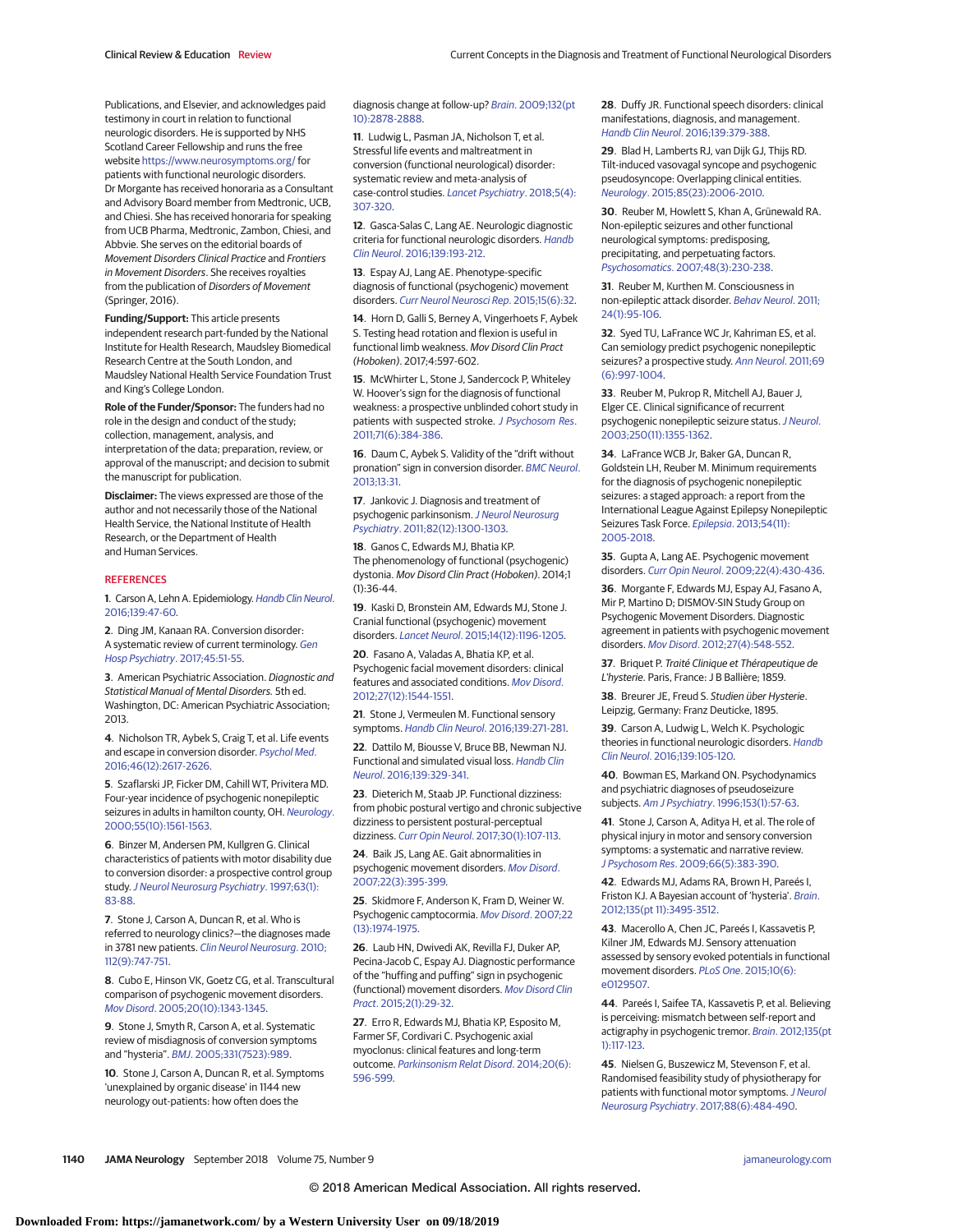Publications, and Elsevier, and acknowledges paid testimony in court in relation to functional neurologic disorders. He is supported by NHS Scotland Career Fellowship and runs the free website <https://www.neurosymptoms.org/> for patients with functional neurologic disorders. Dr Morgante has received honoraria as a Consultant and Advisory Board member from Medtronic, UCB, and Chiesi. She has received honoraria for speaking from UCB Pharma, Medtronic, Zambon, Chiesi, and Abbvie. She serves on the editorial boards of Movement Disorders Clinical Practice and Frontiers in Movement Disorders. She receives royalties from the publication of Disorders of Movement (Springer, 2016).

**Funding/Support:** This article presents independent research part-funded by the National Institute for Health Research, Maudsley Biomedical Research Centre at the South London, and Maudsley National Health Service Foundation Trust and King's College London.

**Role of the Funder/Sponsor:** The funders had no role in the design and conduct of the study; collection, management, analysis, and interpretation of the data; preparation, review, or approval of the manuscript; and decision to submit the manuscript for publication.

**Disclaimer:** The views expressed are those of the author and not necessarily those of the National Health Service, the National Institute of Health Research, or the Department of Health and Human Services.

### **REFERENCES**

**1**. Carson A, Lehn A. Epidemiology.[Handb Clin Neurol](https://www.ncbi.nlm.nih.gov/pubmed/27719864). [2016;139:47-60.](https://www.ncbi.nlm.nih.gov/pubmed/27719864)

**2**. Ding JM, Kanaan RA. Conversion disorder: A systematic review of current terminology. [Gen](https://www.ncbi.nlm.nih.gov/pubmed/28274339) [Hosp Psychiatry](https://www.ncbi.nlm.nih.gov/pubmed/28274339). 2017;45:51-55.

**3**. American Psychiatric Association. Diagnostic and Statistical Manual of Mental Disorders. 5th ed. Washington, DC: American Psychiatric Association; 2013.

**4**. Nicholson TR, Aybek S, Craig T, et al. Life events and escape in conversion disorder. [Psychol Med](https://www.ncbi.nlm.nih.gov/pubmed/27377290). [2016;46\(12\):2617-2626.](https://www.ncbi.nlm.nih.gov/pubmed/27377290)

**5**. Szaflarski JP, Ficker DM, Cahill WT, Privitera MD. Four-year incidence of psychogenic nonepileptic seizures in adults in hamilton county, OH. [Neurology](https://www.ncbi.nlm.nih.gov/pubmed/11094115). [2000;55\(10\):1561-1563.](https://www.ncbi.nlm.nih.gov/pubmed/11094115)

**6**. Binzer M, Andersen PM, Kullgren G. Clinical characteristics of patients with motor disability due to conversion disorder: a prospective control group study. [J Neurol Neurosurg Psychiatry](https://www.ncbi.nlm.nih.gov/pubmed/9221972). 1997;63(1): [83-88.](https://www.ncbi.nlm.nih.gov/pubmed/9221972)

**7**. Stone J, Carson A, Duncan R, et al. Who is referred to neurology clinics?—the diagnoses made in 3781 new patients. [Clin Neurol Neurosurg](https://www.ncbi.nlm.nih.gov/pubmed/20646830). 2010; [112\(9\):747-751.](https://www.ncbi.nlm.nih.gov/pubmed/20646830)

**8**. Cubo E, Hinson VK, Goetz CG, et al. Transcultural comparison of psychogenic movement disorders. Mov Disord[. 2005;20\(10\):1343-1345.](https://www.ncbi.nlm.nih.gov/pubmed/16001406)

**9**. Stone J, Smyth R, Carson A, et al. Systematic review of misdiagnosis of conversion symptoms and "hysteria". BMJ[. 2005;331\(7523\):989.](https://www.ncbi.nlm.nih.gov/pubmed/16223792)

**10**. Stone J, Carson A, Duncan R, et al. Symptoms 'unexplained by organic disease' in 1144 new neurology out-patients: how often does the

diagnosis change at follow-up? Brain[. 2009;132\(pt](https://www.ncbi.nlm.nih.gov/pubmed/19737842) [10\):2878-2888.](https://www.ncbi.nlm.nih.gov/pubmed/19737842)

**11**. Ludwig L, Pasman JA, Nicholson T, et al. Stressful life events and maltreatment in conversion (functional neurological) disorder: systematic review and meta-analysis of case-control studies. [Lancet Psychiatry](https://www.ncbi.nlm.nih.gov/pubmed/29526521). 2018;5(4): [307-320.](https://www.ncbi.nlm.nih.gov/pubmed/29526521)

**12**. Gasca-Salas C, Lang AE. Neurologic diagnostic criteria for functional neurologic disorders. [Handb](https://www.ncbi.nlm.nih.gov/pubmed/27719839) Clin Neurol[. 2016;139:193-212.](https://www.ncbi.nlm.nih.gov/pubmed/27719839)

**13**. Espay AJ, Lang AE. Phenotype-specific diagnosis of functional (psychogenic) movement disorders. [Curr Neurol Neurosci Rep](https://www.ncbi.nlm.nih.gov/pubmed/25900093). 2015;15(6):32.

**14**. Horn D, Galli S, Berney A, Vingerhoets F, Aybek S. Testing head rotation and flexion is useful in functional limb weakness. Mov Disord Clin Pract (Hoboken). 2017;4:597-602.

**15**. McWhirter L, Stone J, Sandercock P, Whiteley W. Hoover's sign for the diagnosis of functional weakness: a prospective unblinded cohort study in patients with suspected stroke. [J Psychosom Res](https://www.ncbi.nlm.nih.gov/pubmed/22118379). [2011;71\(6\):384-386.](https://www.ncbi.nlm.nih.gov/pubmed/22118379)

**16**. Daum C, Aybek S. Validity of the "drift without pronation" sign in conversion disorder. [BMC Neurol](https://www.ncbi.nlm.nih.gov/pubmed/23548051). [2013;13:31.](https://www.ncbi.nlm.nih.gov/pubmed/23548051)

**17**. Jankovic J. Diagnosis and treatment of psychogenic parkinsonism.[J Neurol Neurosurg](https://www.ncbi.nlm.nih.gov/pubmed/21933950) Psychiatry[. 2011;82\(12\):1300-1303.](https://www.ncbi.nlm.nih.gov/pubmed/21933950)

**18**. Ganos C, Edwards MJ, Bhatia KP. The phenomenology of functional (psychogenic) dystonia. Mov Disord Clin Pract (Hoboken). 2014;1  $(1) \cdot 36 - 44$ 

**19**. Kaski D, Bronstein AM, Edwards MJ, Stone J. Cranial functional (psychogenic) movement disorders. Lancet Neurol[. 2015;14\(12\):1196-1205.](https://www.ncbi.nlm.nih.gov/pubmed/26581970)

**20**. Fasano A, Valadas A, Bhatia KP, et al. Psychogenic facial movement disorders: clinical features and associated conditions. [Mov Disord](https://www.ncbi.nlm.nih.gov/pubmed/23033125). [2012;27\(12\):1544-1551.](https://www.ncbi.nlm.nih.gov/pubmed/23033125)

**21**. Stone J, Vermeulen M. Functional sensory symptoms. Handb Clin Neurol[. 2016;139:271-281.](https://www.ncbi.nlm.nih.gov/pubmed/27719847)

**22**. Dattilo M, Biousse V, Bruce BB, Newman NJ. Functional and simulated visual loss. [Handb Clin](https://www.ncbi.nlm.nih.gov/pubmed/27719853) Neurol[. 2016;139:329-341.](https://www.ncbi.nlm.nih.gov/pubmed/27719853)

**23**. Dieterich M, Staab JP. Functional dizziness: from phobic postural vertigo and chronic subjective dizziness to persistent postural-perceptual dizziness. Curr Opin Neurol[. 2017;30\(1\):107-113.](https://www.ncbi.nlm.nih.gov/pubmed/28002123)

**24**. Baik JS, Lang AE. Gait abnormalities in psychogenic movement disorders. [Mov Disord](https://www.ncbi.nlm.nih.gov/pubmed/17216648). [2007;22\(3\):395-399.](https://www.ncbi.nlm.nih.gov/pubmed/17216648)

**25**. Skidmore F, Anderson K, Fram D, Weiner W. Psychogenic camptocormia. [Mov Disord](https://www.ncbi.nlm.nih.gov/pubmed/17712851). 2007;22 [\(13\):1974-1975.](https://www.ncbi.nlm.nih.gov/pubmed/17712851)

**26**. Laub HN, Dwivedi AK, Revilla FJ, Duker AP, Pecina-Jacob C, Espay AJ. Diagnostic performance of the "huffing and puffing" sign in psychogenic (functional) movement disorders. [Mov Disord Clin](https://www.ncbi.nlm.nih.gov/pubmed/25961068) Pract[. 2015;2\(1\):29-32.](https://www.ncbi.nlm.nih.gov/pubmed/25961068)

**27**. Erro R, Edwards MJ, Bhatia KP, Esposito M, Farmer SF, Cordivari C. Psychogenic axial myoclonus: clinical features and long-term outcome. [Parkinsonism Relat Disord](https://www.ncbi.nlm.nih.gov/pubmed/24661468). 2014;20(6): [596-599.](https://www.ncbi.nlm.nih.gov/pubmed/24661468)

**28**. Duffy JR. Functional speech disorders: clinical manifestations, diagnosis, and management. Handb Clin Neurol[. 2016;139:379-388.](https://www.ncbi.nlm.nih.gov/pubmed/27719858)

**29**. Blad H, Lamberts RJ, van Dijk GJ, Thijs RD. Tilt-induced vasovagal syncope and psychogenic pseudosyncope: Overlapping clinical entities. Neurology[. 2015;85\(23\):2006-2010.](https://www.ncbi.nlm.nih.gov/pubmed/26561288)

**30**. Reuber M, Howlett S, Khan A, Grünewald RA. Non-epileptic seizures and other functional neurological symptoms: predisposing, precipitating, and perpetuating factors. Psychosomatics[. 2007;48\(3\):230-238.](https://www.ncbi.nlm.nih.gov/pubmed/17478592)

**31**. Reuber M, Kurthen M. Consciousness in non-epileptic attack disorder. [Behav Neurol](https://www.ncbi.nlm.nih.gov/pubmed/21447903). 2011; [24\(1\):95-106.](https://www.ncbi.nlm.nih.gov/pubmed/21447903)

**32**. Syed TU, LaFrance WC Jr, Kahriman ES, et al. Can semiology predict psychogenic nonepileptic seizures? a prospective study. [Ann Neurol](https://www.ncbi.nlm.nih.gov/pubmed/21437930). 2011;69 [\(6\):997-1004.](https://www.ncbi.nlm.nih.gov/pubmed/21437930)

**33**. Reuber M, Pukrop R, Mitchell AJ, Bauer J, Elger CE. Clinical significance of recurrent psychogenic nonepileptic seizure status. [J Neurol](https://www.ncbi.nlm.nih.gov/pubmed/14648153). [2003;250\(11\):1355-1362.](https://www.ncbi.nlm.nih.gov/pubmed/14648153)

**34**. LaFrance WCB Jr, Baker GA, Duncan R, Goldstein LH, Reuber M. Minimum requirements for the diagnosis of psychogenic nonepileptic seizures: a staged approach: a report from the International League Against Epilepsy Nonepileptic Seizures Task Force. Epilepsia[. 2013;54\(11\):](https://www.ncbi.nlm.nih.gov/pubmed/24111933) [2005-2018.](https://www.ncbi.nlm.nih.gov/pubmed/24111933)

**35**. Gupta A, Lang AE. Psychogenic movement disorders. Curr Opin Neurol[. 2009;22\(4\):430-436.](https://www.ncbi.nlm.nih.gov/pubmed/19542886)

**36**. Morgante F, Edwards MJ, Espay AJ, Fasano A, Mir P, Martino D; DISMOV-SIN Study Group on Psychogenic Movement Disorders. Diagnostic agreement in patients with psychogenic movement disorders. Mov Disord[. 2012;27\(4\):548-552.](https://www.ncbi.nlm.nih.gov/pubmed/22488862)

**37**. Briquet P. Traité Clinique et Thérapeutique de L'hysterie. Paris, France: J B Ballière; 1859.

**38**. Breurer JE, Freud S. Studien über Hysterie. Leipzig, Germany: Franz Deuticke, 1895.

**39**. Carson A, Ludwig L, Welch K. Psychologic theories in functional neurologic disorders. [Handb](https://www.ncbi.nlm.nih.gov/pubmed/27719831) Clin Neurol[. 2016;139:105-120.](https://www.ncbi.nlm.nih.gov/pubmed/27719831)

**40**. Bowman ES, Markand ON. Psychodynamics and psychiatric diagnoses of pseudoseizure subjects. Am J Psychiatry[. 1996;153\(1\):57-63.](https://www.ncbi.nlm.nih.gov/pubmed/8540592)

**41**. Stone J, Carson A, Aditya H, et al. The role of physical injury in motor and sensory conversion symptoms: a systematic and narrative review. J Psychosom Res[. 2009;66\(5\):383-390.](https://www.ncbi.nlm.nih.gov/pubmed/19379954)

**42**. Edwards MJ, Adams RA, Brown H, Pareés I, Friston KJ. A Bayesian account of 'hysteria'. [Brain](https://www.ncbi.nlm.nih.gov/pubmed/22641838). [2012;135\(pt 11\):3495-3512.](https://www.ncbi.nlm.nih.gov/pubmed/22641838)

**43**. Macerollo A, Chen JC, Pareés I, Kassavetis P, Kilner JM, Edwards MJ. Sensory attenuation assessed by sensory evoked potentials in functional movement disorders. PLoS One[. 2015;10\(6\):](https://www.ncbi.nlm.nih.gov/pubmed/26091500) [e0129507.](https://www.ncbi.nlm.nih.gov/pubmed/26091500)

**44**. Pareés I, Saifee TA, Kassavetis P, et al. Believing is perceiving: mismatch between self-report and actigraphy in psychogenic tremor. Brain[. 2012;135\(pt](https://www.ncbi.nlm.nih.gov/pubmed/22075068) [1\):117-123.](https://www.ncbi.nlm.nih.gov/pubmed/22075068)

**45**. Nielsen G, Buszewicz M, Stevenson F, et al. Randomised feasibility study of physiotherapy for patients with functional motor symptoms. [J Neurol](https://www.ncbi.nlm.nih.gov/pubmed/27694498) Neurosurg Psychiatry[. 2017;88\(6\):484-490.](https://www.ncbi.nlm.nih.gov/pubmed/27694498)